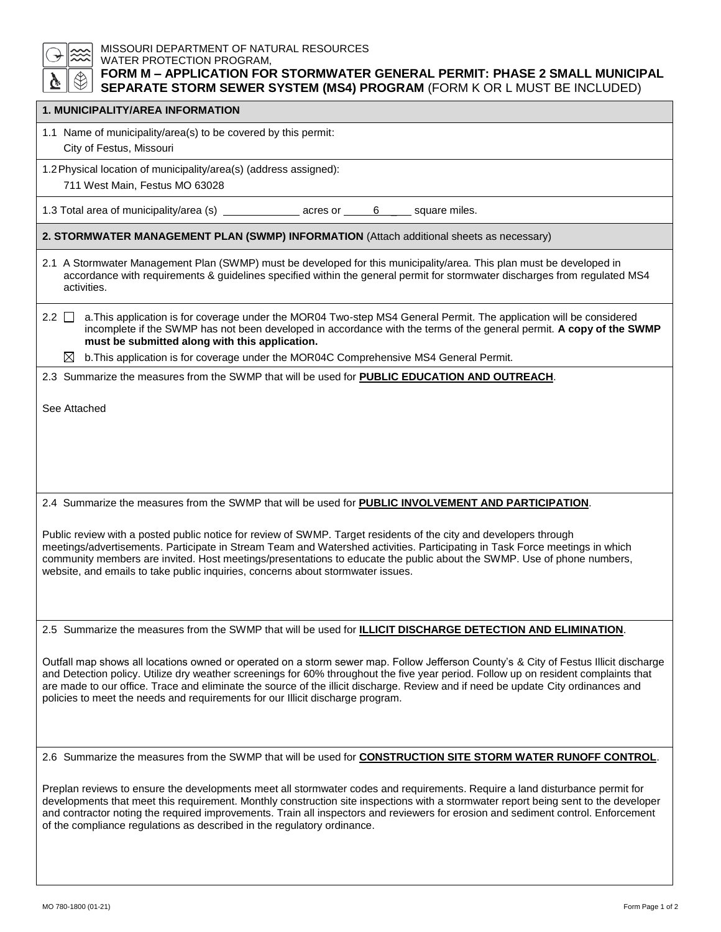| MISSOURI DEPARTMENT OF NATURAL RESOURCES<br>WATER PROTECTION PROGRAM,<br>FORM M - APPLICATION FOR STORMWATER GENERAL PERMIT: PHASE 2 SMALL MUNICIPAL<br>SEPARATE STORM SEWER SYSTEM (MS4) PROGRAM (FORM K OR L MUST BE INCLUDED)                                                                                                                                                                                                                                                                   |  |  |
|----------------------------------------------------------------------------------------------------------------------------------------------------------------------------------------------------------------------------------------------------------------------------------------------------------------------------------------------------------------------------------------------------------------------------------------------------------------------------------------------------|--|--|
| 1. MUNICIPALITY/AREA INFORMATION                                                                                                                                                                                                                                                                                                                                                                                                                                                                   |  |  |
| 1.1 Name of municipality/area(s) to be covered by this permit:<br>City of Festus, Missouri                                                                                                                                                                                                                                                                                                                                                                                                         |  |  |
| 1.2 Physical location of municipality/area(s) (address assigned):<br>711 West Main, Festus MO 63028                                                                                                                                                                                                                                                                                                                                                                                                |  |  |
| 1.3 Total area of municipality/area (s) ________________ acres or ______<br>6 _____ square miles.                                                                                                                                                                                                                                                                                                                                                                                                  |  |  |
| 2. STORMWATER MANAGEMENT PLAN (SWMP) INFORMATION (Attach additional sheets as necessary)                                                                                                                                                                                                                                                                                                                                                                                                           |  |  |
| 2.1 A Stormwater Management Plan (SWMP) must be developed for this municipality/area. This plan must be developed in<br>accordance with requirements & guidelines specified within the general permit for stormwater discharges from regulated MS4<br>activities.                                                                                                                                                                                                                                  |  |  |
| a. This application is for coverage under the MOR04 Two-step MS4 General Permit. The application will be considered<br>2.2 I I<br>incomplete if the SWMP has not been developed in accordance with the terms of the general permit. A copy of the SWMP<br>must be submitted along with this application.                                                                                                                                                                                           |  |  |
| b. This application is for coverage under the MOR04C Comprehensive MS4 General Permit.<br>⊠                                                                                                                                                                                                                                                                                                                                                                                                        |  |  |
| 2.3 Summarize the measures from the SWMP that will be used for PUBLIC EDUCATION AND OUTREACH.                                                                                                                                                                                                                                                                                                                                                                                                      |  |  |
| See Attached                                                                                                                                                                                                                                                                                                                                                                                                                                                                                       |  |  |
| 2.4 Summarize the measures from the SWMP that will be used for PUBLIC INVOLVEMENT AND PARTICIPATION.                                                                                                                                                                                                                                                                                                                                                                                               |  |  |
| Public review with a posted public notice for review of SWMP. Target residents of the city and developers through<br>meetings/advertisements. Participate in Stream Team and Watershed activities. Participating in Task Force meetings in which<br>community members are invited. Host meetings/presentations to educate the public about the SWMP. Use of phone numbers,<br>website, and emails to take public inquiries, concerns about stormwater issues.                                      |  |  |
| 2.5 Summarize the measures from the SWMP that will be used for <b>ILLICIT DISCHARGE DETECTION AND ELIMINATION</b> .                                                                                                                                                                                                                                                                                                                                                                                |  |  |
| Outfall map shows all locations owned or operated on a storm sewer map. Follow Jefferson County's & City of Festus Illicit discharge<br>and Detection policy. Utilize dry weather screenings for 60% throughout the five year period. Follow up on resident complaints that<br>are made to our office. Trace and eliminate the source of the illicit discharge. Review and if need be update City ordinances and<br>policies to meet the needs and requirements for our Illicit discharge program. |  |  |
| 2.6 Summarize the measures from the SWMP that will be used for <b>CONSTRUCTION SITE STORM WATER RUNOFF CONTROL</b> .                                                                                                                                                                                                                                                                                                                                                                               |  |  |
| Preplan reviews to ensure the developments meet all stormwater codes and requirements. Require a land disturbance permit for<br>developments that meet this requirement. Monthly construction site inspections with a stormwater report being sent to the developer<br>and contractor noting the required improvements. Train all inspectors and reviewers for erosion and sediment control. Enforcement<br>of the compliance regulations as described in the regulatory ordinance.                |  |  |